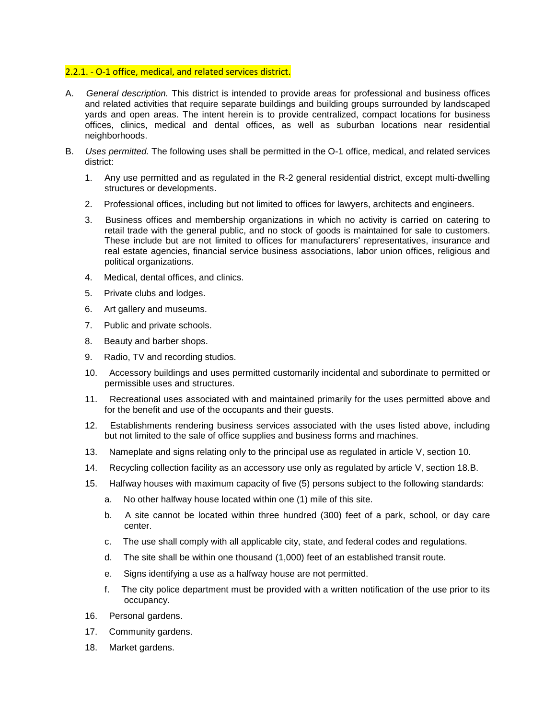## 2.2.1. - O-1 office, medical, and related services district.

- A. *General description.* This district is intended to provide areas for professional and business offices and related activities that require separate buildings and building groups surrounded by landscaped yards and open areas. The intent herein is to provide centralized, compact locations for business offices, clinics, medical and dental offices, as well as suburban locations near residential neighborhoods.
- B. *Uses permitted.* The following uses shall be permitted in the O-1 office, medical, and related services district:
	- 1. Any use permitted and as regulated in the R-2 general residential district, except multi-dwelling structures or developments.
	- 2. Professional offices, including but not limited to offices for lawyers, architects and engineers.
	- 3. Business offices and membership organizations in which no activity is carried on catering to retail trade with the general public, and no stock of goods is maintained for sale to customers. These include but are not limited to offices for manufacturers' representatives, insurance and real estate agencies, financial service business associations, labor union offices, religious and political organizations.
	- 4. Medical, dental offices, and clinics.
	- 5. Private clubs and lodges.
	- 6. Art gallery and museums.
	- 7. Public and private schools.
	- 8. Beauty and barber shops.
	- 9. Radio, TV and recording studios.
	- 10. Accessory buildings and uses permitted customarily incidental and subordinate to permitted or permissible uses and structures.
	- 11. Recreational uses associated with and maintained primarily for the uses permitted above and for the benefit and use of the occupants and their guests.
	- 12. Establishments rendering business services associated with the uses listed above, including but not limited to the sale of office supplies and business forms and machines.
	- 13. Nameplate and signs relating only to the principal use as regulated in article V, section 10.
	- 14. Recycling collection facility as an accessory use only as regulated by article V, section 18.B.
	- 15. Halfway houses with maximum capacity of five (5) persons subject to the following standards:
		- a. No other halfway house located within one (1) mile of this site.
		- b. A site cannot be located within three hundred (300) feet of a park, school, or day care center.
		- c. The use shall comply with all applicable city, state, and federal codes and regulations.
		- d. The site shall be within one thousand (1,000) feet of an established transit route.
		- e. Signs identifying a use as a halfway house are not permitted.
		- f. The city police department must be provided with a written notification of the use prior to its occupancy.
	- 16. Personal gardens.
	- 17. Community gardens.
	- 18. Market gardens.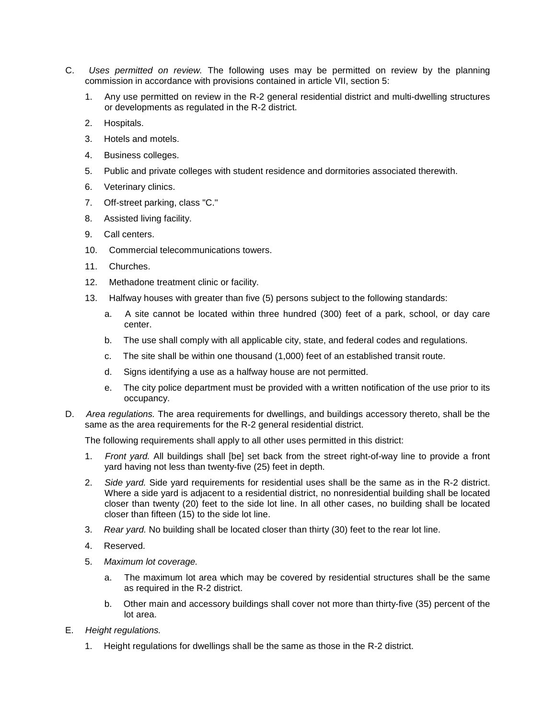- C. *Uses permitted on review.* The following uses may be permitted on review by the planning commission in accordance with provisions contained in article VII, section 5:
	- 1. Any use permitted on review in the R-2 general residential district and multi-dwelling structures or developments as regulated in the R-2 district.
	- 2. Hospitals.
	- 3. Hotels and motels.
	- 4. Business colleges.
	- 5. Public and private colleges with student residence and dormitories associated therewith.
	- 6. Veterinary clinics.
	- 7. Off-street parking, class "C."
	- 8. Assisted living facility.
	- 9. Call centers.
	- 10. Commercial telecommunications towers.
	- 11. Churches.
	- 12. Methadone treatment clinic or facility.
	- 13. Halfway houses with greater than five (5) persons subject to the following standards:
		- a. A site cannot be located within three hundred (300) feet of a park, school, or day care center.
		- b. The use shall comply with all applicable city, state, and federal codes and regulations.
		- c. The site shall be within one thousand (1,000) feet of an established transit route.
		- d. Signs identifying a use as a halfway house are not permitted.
		- e. The city police department must be provided with a written notification of the use prior to its occupancy.
- D. *Area regulations.* The area requirements for dwellings, and buildings accessory thereto, shall be the same as the area requirements for the R-2 general residential district.

The following requirements shall apply to all other uses permitted in this district:

- 1. *Front yard.* All buildings shall [be] set back from the street right-of-way line to provide a front yard having not less than twenty-five (25) feet in depth.
- 2. *Side yard.* Side yard requirements for residential uses shall be the same as in the R-2 district. Where a side yard is adjacent to a residential district, no nonresidential building shall be located closer than twenty (20) feet to the side lot line. In all other cases, no building shall be located closer than fifteen (15) to the side lot line.
- 3. *Rear yard.* No building shall be located closer than thirty (30) feet to the rear lot line.
- 4. Reserved.
- 5. *Maximum lot coverage.*
	- a. The maximum lot area which may be covered by residential structures shall be the same as required in the R-2 district.
	- b. Other main and accessory buildings shall cover not more than thirty-five (35) percent of the lot area.
- E. *Height regulations.*
	- 1. Height regulations for dwellings shall be the same as those in the R-2 district.